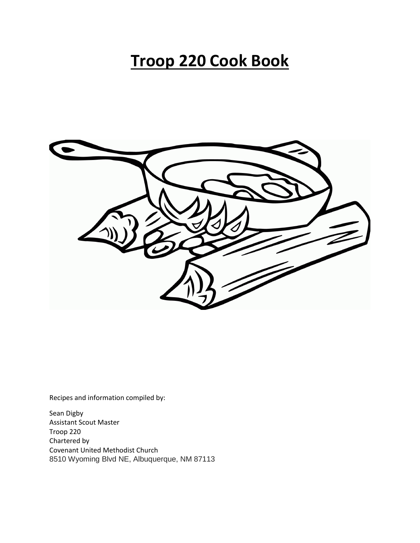# **Troop 220 Cook Book**



Recipes and information compiled by:

Sean Digby Assistant Scout Master Troop 220 Chartered by Covenant United Methodist Church 8510 Wyoming Blvd NE, Albuquerque, NM 87113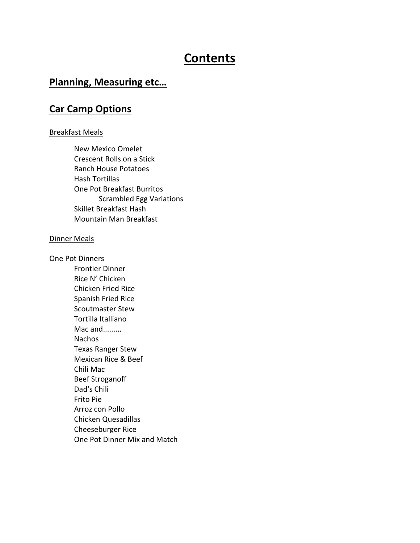## **Contents**

### **Planning, Measuring etc…**

### **Car Camp Options**

#### Breakfast Meals

New Mexico Omelet Crescent Rolls on a Stick Ranch House Potatoes Hash Tortillas One Pot Breakfast Burritos Scrambled Egg Variations Skillet Breakfast Hash Mountain Man Breakfast

#### Dinner Meals

One Pot Dinners

Frontier Dinner Rice N' Chicken Chicken Fried Rice Spanish Fried Rice Scoutmaster Stew Tortilla Italliano Mac and......... **Nachos** Texas Ranger Stew Mexican Rice & Beef Chili Mac Beef Stroganoff Dad's Chili Frito Pie Arroz con Pollo Chicken Quesadillas Cheeseburger Rice One Pot Dinner Mix and Match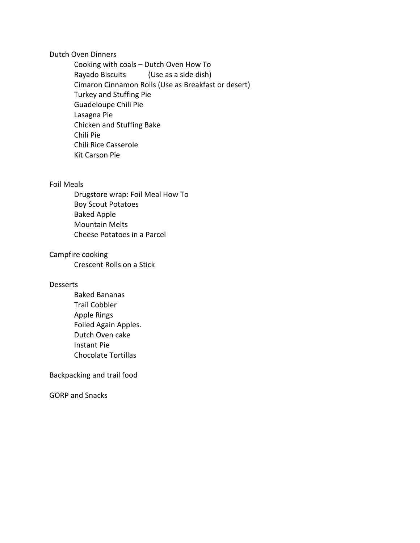#### Dutch Oven Dinners

Cooking with coals – Dutch Oven How To Rayado Biscuits (Use as a side dish) Cimaron Cinnamon Rolls (Use as Breakfast or desert) Turkey and Stuffing Pie Guadeloupe Chili Pie Lasagna Pie Chicken and Stuffing Bake Chili Pie Chili Rice Casserole Kit Carson Pie

#### Foil Meals

Drugstore wrap: Foil Meal How To Boy Scout Potatoes Baked Apple Mountain Melts Cheese Potatoes in a Parcel

#### Campfire cooking

Crescent Rolls on a Stick

#### **Desserts**

Baked Bananas Trail Cobbler Apple Rings Foiled Again Apples. Dutch Oven cake Instant Pie Chocolate Tortillas

Backpacking and trail food

GORP and Snacks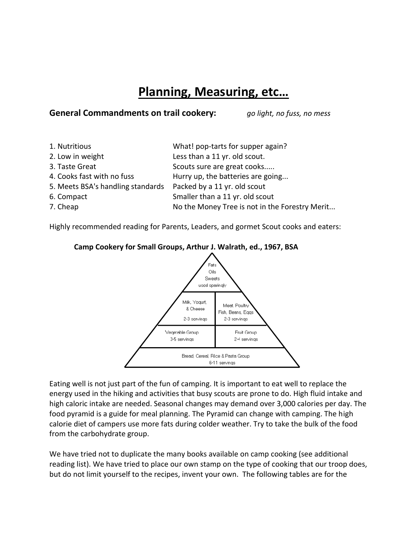## **Planning, Measuring, etc…**

### **General Commandments on trail cookery:** *go light, no fuss, no mess*

| What! pop-tarts for supper again?              |
|------------------------------------------------|
| Less than a 11 yr. old scout.                  |
| Scouts sure are great cooks                    |
| Hurry up, the batteries are going              |
| Packed by a 11 yr. old scout                   |
| Smaller than a 11 yr. old scout                |
| No the Money Tree is not in the Forestry Merit |
|                                                |

Highly recommended reading for Parents, Leaders, and gormet Scout cooks and eaters:



#### **Camp Cookery for Small Groups, Arthur J. Walrath, ed., 1967, BSA**

Eating well is not just part of the fun of camping. It is important to eat well to replace the energy used in the hiking and activities that busy scouts are prone to do. High fluid intake and high caloric intake are needed. Seasonal changes may demand over 3,000 calories per day. The food pyramid is a guide for meal planning. The Pyramid can change with camping. The high calorie diet of campers use more fats during colder weather. Try to take the bulk of the food from the carbohydrate group.

We have tried not to duplicate the many books available on camp cooking (see additional reading list). We have tried to place our own stamp on the type of cooking that our troop does, but do not limit yourself to the recipes, invent your own. The following tables are for the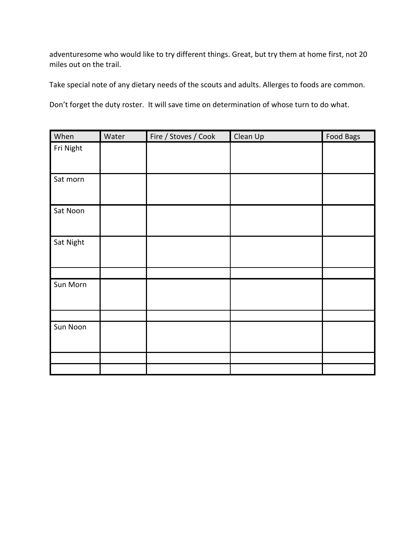adventuresome who would like to try different things. Great, but try them at home first, not 20 miles out on the trail.

Take special note of any dietary needs of the scouts and adults. Allerges to foods are common.

Don't forget the duty roster. It will save time on determination of whose turn to do what.

| When      | Water | Fire / Stoves / Cook | Clean Up | Food Bags |
|-----------|-------|----------------------|----------|-----------|
| Fri Night |       |                      |          |           |
|           |       |                      |          |           |
| Sat morn  |       |                      |          |           |
|           |       |                      |          |           |
| Sat Noon  |       |                      |          |           |
|           |       |                      |          |           |
| Sat Night |       |                      |          |           |
|           |       |                      |          |           |
|           |       |                      |          |           |
| Sun Morn  |       |                      |          |           |
|           |       |                      |          |           |
|           |       |                      |          |           |
| Sun Noon  |       |                      |          |           |
|           |       |                      |          |           |
|           |       |                      |          |           |
|           |       |                      |          |           |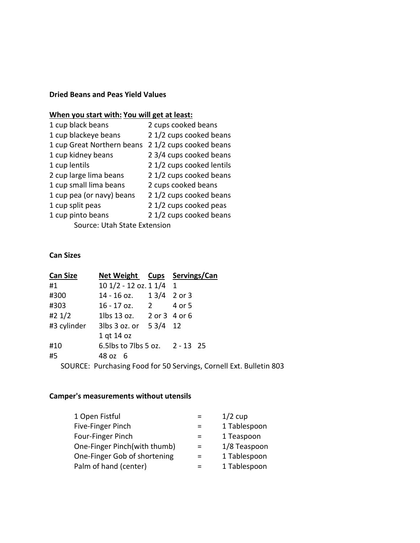### **Dried Beans and Peas Yield Values**

### **When you start with: You will get at least:**

| 1 cup black beans            | 2 cups cooked beans      |
|------------------------------|--------------------------|
| 1 cup blackeye beans         | 2 1/2 cups cooked beans  |
| 1 cup Great Northern beans   | 21/2 cups cooked beans   |
| 1 cup kidney beans           | 2 3/4 cups cooked beans  |
| 1 cup lentils                | 21/2 cups cooked lentils |
| 2 cup large lima beans       | 21/2 cups cooked beans   |
| 1 cup small lima beans       | 2 cups cooked beans      |
| 1 cup pea (or navy) beans    | 2 1/2 cups cooked beans  |
| 1 cup split peas             | 2 1/2 cups cooked peas   |
| 1 cup pinto beans            | 2 1/2 cups cooked beans  |
| Source: Utah State Extension |                          |

#### **Can Sizes**

| <b>Can Size</b> | Net Weight Cups Servings/Can                  |                                                                    |
|-----------------|-----------------------------------------------|--------------------------------------------------------------------|
| #1              | $101/2 - 12$ oz. $11/4$ 1                     |                                                                    |
| #300            | 14 - 16 oz.  1 3/4 2 or 3                     |                                                                    |
| #303            | 16 - 17 oz. 2 4 or 5                          |                                                                    |
| #2 $1/2$        | 1lbs 13 oz. 2 or 3 4 or 6                     |                                                                    |
|                 | #3 cylinder 3lbs $3$ oz. or $5\frac{3}{4}$ 12 |                                                                    |
|                 | 1 gt 14 oz                                    |                                                                    |
| #10             | 6.5 lbs to 7 lbs 5 oz. 2 - 13 25              |                                                                    |
| #5              | 48 oz 6                                       |                                                                    |
|                 |                                               | SOURCE: Purchasing Food for 50 Servings, Cornell Ext. Bulletin 803 |

#### **Camper's measurements without utensils**

| 1 Open Fistful               |     | $1/2$ cup    |
|------------------------------|-----|--------------|
| Five-Finger Pinch            |     | 1 Tablespoon |
| Four-Finger Pinch            |     | 1 Teaspoon   |
| One-Finger Pinch(with thumb) | $=$ | 1/8 Teaspoon |
| One-Finger Gob of shortening | $=$ | 1 Tablespoon |
| Palm of hand (center)        |     | 1 Tablespoon |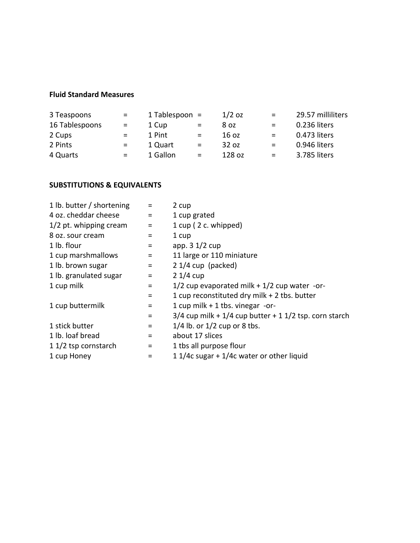### **Fluid Standard Measures**

| 3 Teaspoons    | $\equiv$ | 1 Tablespoon $=$ |          | $1/2$ oz         | $\equiv$ | 29.57 milliliters |
|----------------|----------|------------------|----------|------------------|----------|-------------------|
| 16 Tablespoons | $\equiv$ | 1 Cup            | $=$      | 8 oz             | $\equiv$ | 0.236 liters      |
| 2 Cups         | $\equiv$ | 1 Pint           | $=$      | 16 <sub>oz</sub> | $=$      | 0.473 liters      |
| 2 Pints        | $\equiv$ | 1 Quart          | $=$      | 32 oz            | $=$      | 0.946 liters      |
| 4 Quarts       | $=$      | 1 Gallon         | $\equiv$ | 128 oz           | $\equiv$ | 3.785 liters      |

### **SUBSTITUTIONS & EQUIVALENTS**

| 1 lb. butter / shortening | $\equiv$          | 2 cup                                                        |
|---------------------------|-------------------|--------------------------------------------------------------|
| 4 oz. cheddar cheese      | $\equiv$          | 1 cup grated                                                 |
| 1/2 pt. whipping cream    | $\equiv$          | 1 cup (2 c. whipped)                                         |
| 8 oz. sour cream          |                   | 1 cup                                                        |
| 1 lb. flour               | $=$               | app. $3 \frac{1}{2}$ cup                                     |
| 1 cup marshmallows        | $=$               | 11 large or 110 miniature                                    |
| 1 lb. brown sugar         | $=$               | $21/4$ cup (packed)                                          |
| 1 lb. granulated sugar    | $\qquad \qquad =$ | $21/4$ cup                                                   |
| 1 cup milk                | $\equiv$          | 1/2 cup evaporated milk $+$ 1/2 cup water -or-               |
|                           | Ξ                 | 1 cup reconstituted dry milk + 2 tbs. butter                 |
| 1 cup buttermilk          | $=$               | 1 cup milk $+$ 1 tbs. vinegar -or-                           |
|                           | $\equiv$          | $3/4$ cup milk + $1/4$ cup butter + 1 $1/2$ tsp. corn starch |
| 1 stick butter            | $\equiv$          | $1/4$ lb. or $1/2$ cup or 8 tbs.                             |
| 1 lb. loaf bread          | $\qquad \qquad =$ | about 17 slices                                              |
| 1 1/2 tsp cornstarch      | $=$               | 1 tbs all purpose flour                                      |
| 1 cup Honey               |                   | 1 1/4c sugar + $1/4c$ water or other liquid                  |
|                           |                   |                                                              |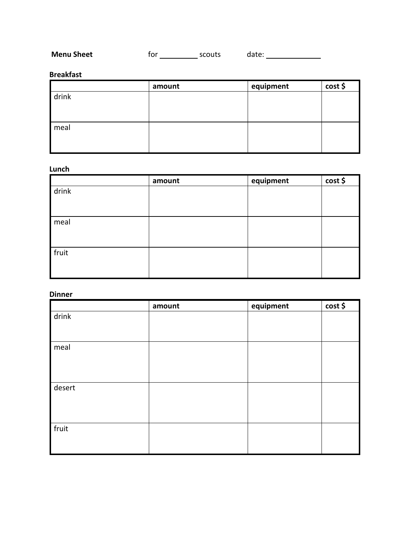| <b>Menu Sheet</b> | tor | scouts | date: |  |
|-------------------|-----|--------|-------|--|
|-------------------|-----|--------|-------|--|

#### **Breakfast**

|       | amount | equipment | $cost$ \$ |
|-------|--------|-----------|-----------|
| drink |        |           |           |
|       |        |           |           |
|       |        |           |           |
| meal  |        |           |           |
|       |        |           |           |
|       |        |           |           |

#### **Lunch**

|       | amount | equipment | cost \$ |
|-------|--------|-----------|---------|
| drink |        |           |         |
|       |        |           |         |
|       |        |           |         |
| meal  |        |           |         |
|       |        |           |         |
|       |        |           |         |
| fruit |        |           |         |
|       |        |           |         |
|       |        |           |         |

#### **Dinner**

|        | amount | equipment | cost \$ |
|--------|--------|-----------|---------|
| drink  |        |           |         |
|        |        |           |         |
|        |        |           |         |
| meal   |        |           |         |
|        |        |           |         |
|        |        |           |         |
|        |        |           |         |
| desert |        |           |         |
|        |        |           |         |
|        |        |           |         |
|        |        |           |         |
| fruit  |        |           |         |
|        |        |           |         |
|        |        |           |         |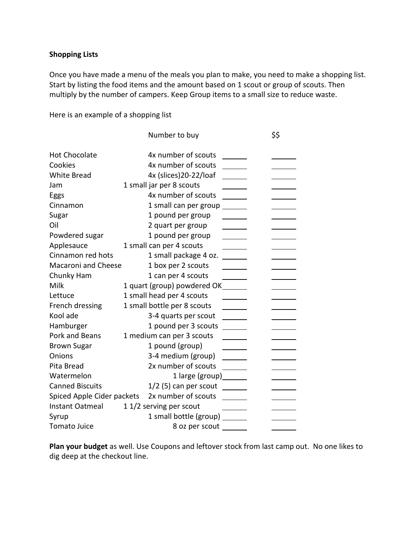#### **Shopping Lists**

Once you have made a menu of the meals you plan to make, you need to make a shopping list. Start by listing the food items and the amount based on 1 scout or group of scouts. Then multiply by the number of campers. Keep Group items to a small size to reduce waste.

Here is an example of a shopping list

|                            | Number to buy                 | \$\$ |
|----------------------------|-------------------------------|------|
| <b>Hot Chocolate</b>       | 4x number of scouts           |      |
| Cookies                    | 4x number of scouts           |      |
| <b>White Bread</b>         | 4x (slices)20-22/loaf         |      |
| Jam                        | 1 small jar per 8 scouts      |      |
| Eggs                       | 4x number of scouts           |      |
| Cinnamon                   | 1 small can per group         |      |
| Sugar                      | 1 pound per group             |      |
| Oil                        | 2 quart per group             |      |
| Powdered sugar             | 1 pound per group             |      |
| Applesauce                 | 1 small can per 4 scouts      |      |
| Cinnamon red hots          | 1 small package 4 oz.         |      |
| Macaroni and Cheese        | 1 box per 2 scouts            |      |
| Chunky Ham                 | 1 can per 4 scouts            |      |
| Milk                       | 1 quart (group) powdered OK__ |      |
| Lettuce                    | 1 small head per 4 scouts     |      |
| French dressing            | 1 small bottle per 8 scouts   |      |
| Kool ade                   | 3-4 quarts per scout          |      |
| Hamburger                  | 1 pound per 3 scouts          |      |
| Pork and Beans             | 1 medium can per 3 scouts     |      |
| <b>Brown Sugar</b>         | 1 pound (group)               |      |
| Onions                     | 3-4 medium (group)            |      |
| Pita Bread                 | 2x number of scouts           |      |
| Watermelon                 | 1 large (group) _______       |      |
| <b>Canned Biscuits</b>     | $1/2$ (5) can per scout       |      |
| Spiced Apple Cider packets | 2x number of scouts           |      |
| Instant Oatmeal            | 1 1/2 serving per scout       |      |
| Syrup                      | 1 small bottle (group)        |      |
| Tomato Juice               | 8 oz per scout                |      |

**Plan your budget** as well. Use Coupons and leftover stock from last camp out. No one likes to dig deep at the checkout line.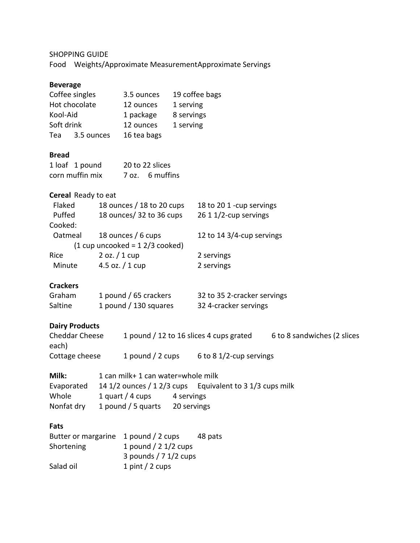### SHOPPING GUIDE

Food Weights/Approximate MeasurementApproximate Servings

#### **Beverage**

| Coffee singles |            | 3.5 ounces  | 19 coffee bags |
|----------------|------------|-------------|----------------|
| Hot chocolate  |            | 12 ounces   | 1 serving      |
| Kool-Aid       |            | 1 package   | 8 servings     |
| Soft drink     |            | 12 ounces   | 1 serving      |
| Tea            | 3.5 ounces | 16 tea bags |                |

#### **Bread**

| 1 loaf 1 pound  | 20 to 22 slices |
|-----------------|-----------------|
| corn muffin mix | 7 oz. 6 muffins |

#### **Cereal** Ready to eat

| Flaked  | 18 ounces / 18 to 20 cups      | 18 to 20 1 -cup servings  |
|---------|--------------------------------|---------------------------|
| Puffed  | 18 ounces/ 32 to 36 cups       | 26 1 1/2-cup servings     |
| Cooked: |                                |                           |
| Oatmeal | 18 ounces / 6 cups             | 12 to 14 3/4-cup servings |
|         | $(1 cup uncooked = 12/3 code)$ |                           |
| Rice    | $2$ oz. $/1$ cup               | 2 servings                |
| Minute  | 4.5 oz. $/$ 1 cup              | 2 servings                |
|         |                                |                           |

#### **Crackers**

| Graham  | 1 pound / 65 crackers | 32 to 35 2-cracker servings |
|---------|-----------------------|-----------------------------|
| Saltine | 1 pound / 130 squares | 32 4-cracker servings       |

#### **Dairy Products**

| Cheddar Cheese | 1 pound / 12 to 16 slices 4 cups grated |                            | 6 to 8 sandwiches (2 slices |
|----------------|-----------------------------------------|----------------------------|-----------------------------|
| each)          |                                         |                            |                             |
| Cottage cheese | 1 pound / 2 cups                        | 6 to 8 $1/2$ -cup servings |                             |

| Milk:      | 1 can milk+ 1 can water=whole milk |             |                                                          |
|------------|------------------------------------|-------------|----------------------------------------------------------|
| Evaporated |                                    |             | 14 1/2 ounces / 1 2/3 cups Equivalent to 3 1/3 cups milk |
| Whole      | 1 quart / 4 cups                   | 4 servings  |                                                          |
| Nonfat dry | 1 pound / 5 quarts                 | 20 servings |                                                          |

#### **Fats**

| Butter or margarine 1 pound / 2 cups |                         | 48 pats |
|--------------------------------------|-------------------------|---------|
| Shortening                           | 1 pound $/$ 2 1/2 cups  |         |
|                                      | 3 pounds $/ 7 1/2$ cups |         |
| Salad oil                            | 1 pint / 2 cups         |         |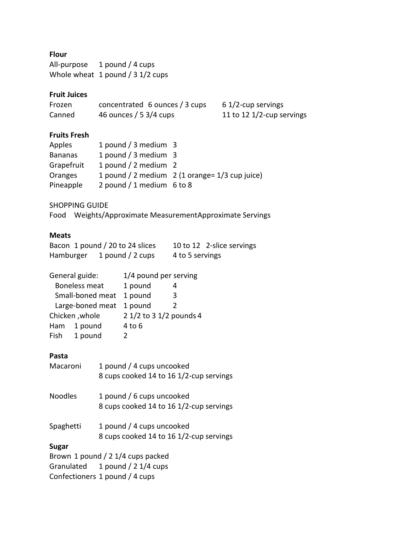### **Flour**

All-purpose 1 pound / 4 cups Whole wheat 1 pound / 3 1/2 cups

#### **Fruit Juices**

| Frozen | concentrated 6 ounces / 3 cups | $61/2$ -cup servings      |
|--------|--------------------------------|---------------------------|
| Canned | 46 ounces / 5 $3/4$ cups       | 11 to 12 1/2-cup servings |

#### **Fruits Fresh**

| Apples         | 1 pound / 3 medium 3        |                                                 |
|----------------|-----------------------------|-------------------------------------------------|
| <b>Bananas</b> | 1 pound / 3 medium 3        |                                                 |
| Grapefruit     | 1 pound / 2 medium 2        |                                                 |
| Oranges        |                             | 1 pound / 2 medium 2 (1 orange = 1/3 cup juice) |
| Pineapple      | 2 pound / 1 medium $6$ to 8 |                                                 |

#### SHOPPING GUIDE

Food Weights/Approximate MeasurementApproximate Servings

### **Meats**

|           | Bacon 1 pound / 20 to 24 slices |                 | 10 to 12 2-slice servings |
|-----------|---------------------------------|-----------------|---------------------------|
| Hamburger | 1 pound / 2 cups                | 4 to 5 servings |                           |

| General guide:       |                | 1/4 pound per serving   |   |
|----------------------|----------------|-------------------------|---|
| <b>Boneless meat</b> |                | 1 pound                 |   |
| Small-boned meat     |                | 1 pound                 | 3 |
| Large-boned meat     |                | 1 pound                 | 2 |
|                      | Chicken, whole | 2 1/2 to 3 1/2 pounds 4 |   |
| Ham                  | 1 pound        | 4 to 6                  |   |
| Fish                 | 1 pound        | $\mathcal{L}$           |   |

### **Pasta**

| Macaroni       | 1 pound / 4 cups uncooked<br>8 cups cooked 14 to 16 1/2-cup servings |
|----------------|----------------------------------------------------------------------|
| <b>Noodles</b> | 1 pound / 6 cups uncooked                                            |
|                | 8 cups cooked 14 to 16 1/2-cup servings                              |
| Spaghetti      | 1 pound / 4 cups uncooked<br>8 cups cooked 14 to 16 1/2-cup servings |
| <b>Sugar</b>   |                                                                      |
|                | Brown 1 pound $/$ 2 1/4 cups packed                                  |
|                | Granulated 1 pound / 2 1/4 cups                                      |
|                | Confectioners 1 pound / 4 cups                                       |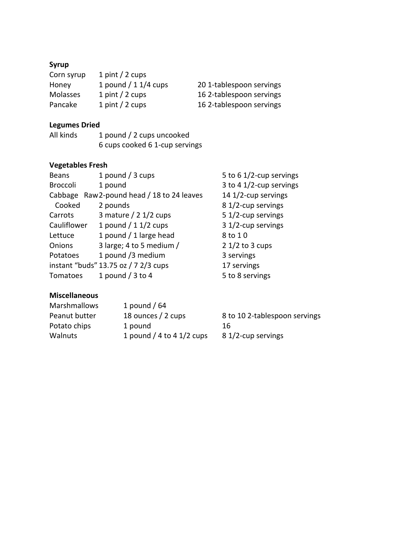### **Syrup**

| Corn syrup      | 1 pint / 2 cups        |                          |
|-----------------|------------------------|--------------------------|
| Honey           | 1 pound $/$ 1 1/4 cups | 201-tablespoon servings  |
| <b>Molasses</b> | 1 pint / 2 cups        | 16 2-tablespoon servings |
| Pancake         | 1 pint / 2 cups        | 16 2-tablespoon servings |

### **Legumes Dried**

All kinds 1 pound / 2 cups uncooked 6 cups cooked 6 1-cup servings

### **Vegetables Fresh**

| <b>Beans</b>    | 1 pound $/$ 3 cups                   | 5 to 6 1/2-cup servings |
|-----------------|--------------------------------------|-------------------------|
| <b>Broccoli</b> | 1 pound                              | 3 to 4 1/2-cup servings |
| Cabbage         | Raw 2-pound head / 18 to 24 leaves   | 14 1/2-cup servings     |
| Cooked          | 2 pounds                             | 8 1/2-cup servings      |
| Carrots         | 3 mature $/$ 2 1/2 cups              | 5 1/2-cup servings      |
| Cauliflower     | 1 pound $/$ 1 1/2 cups               | 3 1/2-cup servings      |
| Lettuce         | 1 pound / 1 large head               | 8 to 10                 |
| Onions          | 3 large; 4 to 5 medium /             | $21/2$ to 3 cups        |
| Potatoes        | 1 pound /3 medium                    | 3 servings              |
|                 | instant "buds" 13.75 oz / 7 2/3 cups | 17 servings             |
| Tomatoes        | 1 pound $/$ 3 to 4                   | 5 to 8 servings         |

### **Miscellaneous**

| <b>Marshmallows</b> | 1 pound / $64$              |                               |
|---------------------|-----------------------------|-------------------------------|
| Peanut butter       | 18 ounces / 2 cups          | 8 to 10 2-tablespoon servings |
| Potato chips        | 1 pound                     | 16                            |
| Walnuts             | 1 pound / 4 to 4 $1/2$ cups | 8 1/2-cup servings            |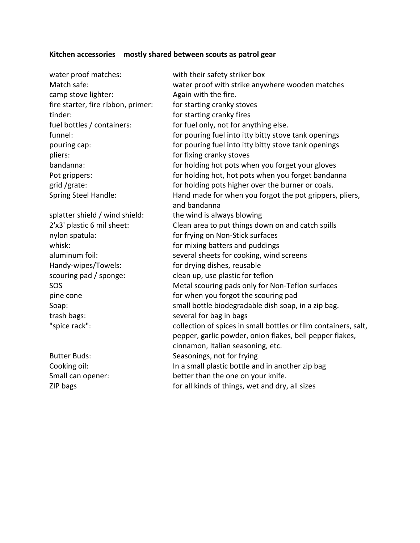#### **Kitchen accessories mostly shared between scouts as patrol gear**

water proof matches: with their safety striker box camp stove lighter: Again with the fire. fire starter, fire ribbon, primer: for starting cranky stoves tinder: tinder: tinder: tinder: tinder: tinder: the starting cranky fires pliers: pliers: pliers: pliers: pliers: pliers: pliers: pliers: pliers: pliers: pliers: pliers: pliers: pliers: pliers: pliers: pliers: pliers: pliers: pliers: pliers: pliers: pliers: pliers: pliers: pliers: pliers: pliers splatter shield / wind shield: the wind is always blowing nylon spatula: for frying on Non-Stick surfaces Handy-wipes/Towels: for drying dishes, reusable scouring pad / sponge:<br>
clean up, use plastic for teflon

Match safe: water proof with strike anywhere wooden matches fuel bottles / containers: for fuel only, not for anything else. funnel: for pouring fuel into itty bitty stove tank openings pouring cap: for pouring fuel into itty bitty stove tank openings bandanna: for holding hot pots when you forget your gloves Pot grippers: for holding hot, hot pots when you forget bandanna grid /grate:  $\blacksquare$  for holding pots higher over the burner or coals. Spring Steel Handle: Hand made for when you forgot the pot grippers, pliers, and bandanna 2'x3' plastic 6 mil sheet: Clean area to put things down on and catch spills whisk: whisk: whisk: whisk: whisk: aluminum foil: several sheets for cooking, wind screens SOS Metal scouring pads only for Non-Teflon surfaces pine cone for when you forgot the scouring pad Soap: small bottle biodegradable dish soap, in a zip bag. trash bags: several for bag in bags "spice rack": collection of spices in small bottles or film containers, salt, pepper, garlic powder, onion flakes, bell pepper flakes, cinnamon, Italian seasoning, etc. Butter Buds: Seasonings, not for frying Cooking oil: In a small plastic bottle and in another zip bag Small can opener: better than the one on your knife. ZIP bags for all kinds of things, wet and dry, all sizes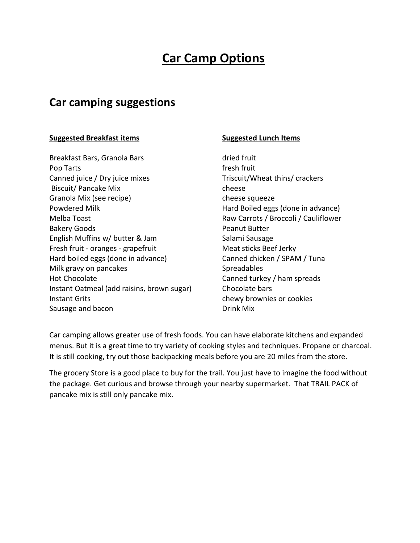## **Car Camp Options**

## **Car camping suggestions**

#### **Suggested Breakfast items Suggested Lunch Items**

Breakfast Bars, Granola Bars dried fruit Pop Tarts **Fresh fruit Fresh fruit** Canned juice / Dry juice mixes Triscuit/Wheat thins/ crackers Biscuit/ Pancake Mix cheese Granola Mix (see recipe) cheese squeeze Powdered Milk **Hard Boiled eggs (done in advance)** Melba Toast **Melba Toast** Raw Carrots / Broccoli / Cauliflower Bakery Goods **Peanut Butter** English Muffins w/ butter & Jam Salami Sausage Fresh fruit - oranges - grapefruit Meat sticks Beef Jerky Hard boiled eggs (done in advance) Canned chicken / SPAM / Tuna Milk gravy on pancakes Spreadables Hot Chocolate Canned turkey / ham spreads Instant Oatmeal (add raisins, brown sugar) Chocolate bars Instant Grits **chewy** brownies or cookies Sausage and bacon Drink Mix

Car camping allows greater use of fresh foods. You can have elaborate kitchens and expanded menus. But it is a great time to try variety of cooking styles and techniques. Propane or charcoal. It is still cooking, try out those backpacking meals before you are 20 miles from the store.

The grocery Store is a good place to buy for the trail. You just have to imagine the food without the package. Get curious and browse through your nearby supermarket. That TRAIL PACK of pancake mix is still only pancake mix.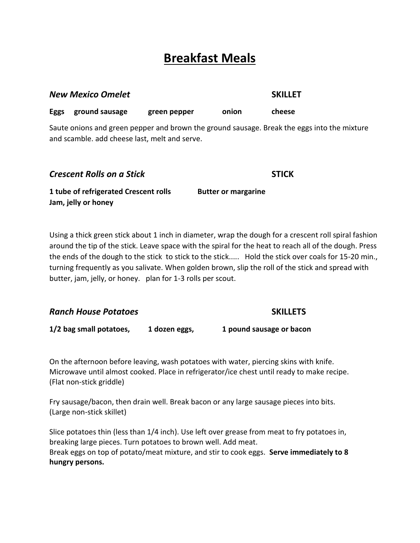## **Breakfast Meals**

|      | <b>New Mexico Omelet</b>                                     |              |                            | <b>SKILLET</b>                                                                              |
|------|--------------------------------------------------------------|--------------|----------------------------|---------------------------------------------------------------------------------------------|
| Eggs | ground sausage                                               | green pepper | onion                      | cheese                                                                                      |
|      | and scamble. add cheese last, melt and serve.                |              |                            | Saute onions and green pepper and brown the ground sausage. Break the eggs into the mixture |
|      | <b>Crescent Rolls on a Stick</b>                             |              |                            | <b>STICK</b>                                                                                |
|      | 1 tube of refrigerated Crescent rolls<br>Jam, jelly or honey |              | <b>Butter or margarine</b> |                                                                                             |

Using a thick green stick about 1 inch in diameter, wrap the dough for a crescent roll spiral fashion around the tip of the stick. Leave space with the spiral for the heat to reach all of the dough. Press the ends of the dough to the stick to stick to the stick..... Hold the stick over coals for 15-20 min., turning frequently as you salivate. When golden brown, slip the roll of the stick and spread with butter, jam, jelly, or honey. plan for 1-3 rolls per scout.

| <b>Ranch House Potatoes</b> | <b>SKILLETS</b> |                          |
|-----------------------------|-----------------|--------------------------|
| 1/2 bag small potatoes,     | 1 dozen eggs,   | 1 pound sausage or bacon |

On the afternoon before leaving, wash potatoes with water, piercing skins with knife. Microwave until almost cooked. Place in refrigerator/ice chest until ready to make recipe. (Flat non-stick griddle)

Fry sausage/bacon, then drain well. Break bacon or any large sausage pieces into bits. (Large non-stick skillet)

Slice potatoes thin (less than 1/4 inch). Use left over grease from meat to fry potatoes in, breaking large pieces. Turn potatoes to brown well. Add meat. Break eggs on top of potato/meat mixture, and stir to cook eggs. **Serve immediately to 8 hungry persons.**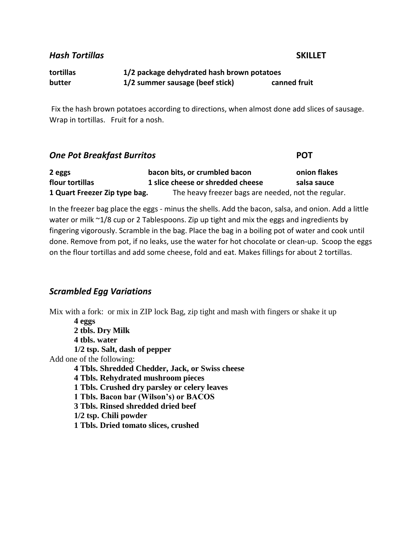*Hash Tortillas* **SKILLET**

### **tortillas 1/2 package dehydrated hash brown potatoes butter 1/2 summer sausage (beef stick) canned fruit**

Fix the hash brown potatoes according to directions, when almost done add slices of sausage. Wrap in tortillas. Fruit for a nosh.

#### *One Pot Breakfast Burritos* **POT**

| 2 eggs                        | bacon bits, or crumbled bacon                       | onion flakes |
|-------------------------------|-----------------------------------------------------|--------------|
| flour tortillas               | 1 slice cheese or shredded cheese                   | salsa sauce  |
| 1 Quart Freezer Zip type bag. | The heavy freezer bags are needed, not the regular. |              |

In the freezer bag place the eggs - minus the shells. Add the bacon, salsa, and onion. Add a little water or milk ~1/8 cup or 2 Tablespoons. Zip up tight and mix the eggs and ingredients by fingering vigorously. Scramble in the bag. Place the bag in a boiling pot of water and cook until done. Remove from pot, if no leaks, use the water for hot chocolate or clean-up. Scoop the eggs on the flour tortillas and add some cheese, fold and eat. Makes fillings for about 2 tortillas.

#### *Scrambled Egg Variations*

Mix with a fork: or mix in ZIP lock Bag, zip tight and mash with fingers or shake it up

**4 eggs 2 tbls. Dry Milk 4 tbls. water 1/2 tsp. Salt, dash of pepper** Add one of the following: **4 Tbls. Shredded Chedder, Jack, or Swiss cheese 4 Tbls. Rehydrated mushroom pieces 1 Tbls. Crushed dry parsley or celery leaves 1 Tbls. Bacon bar (Wilson's) or BACOS 3 Tbls. Rinsed shredded dried beef 1/2 tsp. Chili powder 1 Tbls. Dried tomato slices, crushed**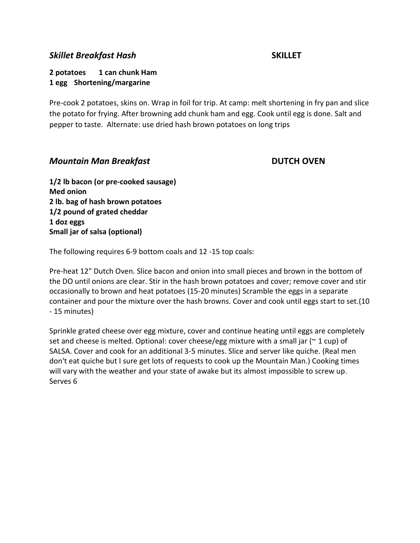#### *Skillet Breakfast Hash* **SKILLET**

**2 potatoes 1 can chunk Ham 1 egg Shortening/margarine**

Pre-cook 2 potatoes, skins on. Wrap in foil for trip. At camp: melt shortening in fry pan and slice the potato for frying. After browning add chunk ham and egg. Cook until egg is done. Salt and pepper to taste. Alternate: use dried hash brown potatoes on long trips

#### *Mountain Man Breakfast* **DUTCH OVEN**

**1/2 lb bacon (or pre-cooked sausage) Med onion 2 lb. bag of hash brown potatoes 1/2 pound of grated cheddar 1 doz eggs Small jar of salsa (optional)** 

The following requires 6-9 bottom coals and 12 -15 top coals:

Pre-heat 12" Dutch Oven. Slice bacon and onion into small pieces and brown in the bottom of the DO until onions are clear. Stir in the hash brown potatoes and cover; remove cover and stir occasionally to brown and heat potatoes (15-20 minutes) Scramble the eggs in a separate container and pour the mixture over the hash browns. Cover and cook until eggs start to set.(10 - 15 minutes)

Sprinkle grated cheese over egg mixture, cover and continue heating until eggs are completely set and cheese is melted. Optional: cover cheese/egg mixture with a small jar ( $\sim$  1 cup) of SALSA. Cover and cook for an additional 3-5 minutes. Slice and server like quiche. (Real men don't eat quiche but I sure get lots of requests to cook up the Mountain Man.) Cooking times will vary with the weather and your state of awake but its almost impossible to screw up. Serves 6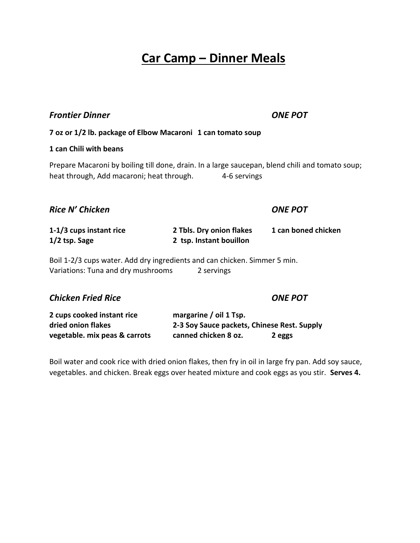## **Car Camp – Dinner Meals**

#### *Frontier Dinner ONE POT*

**7 oz or 1/2 lb. package of Elbow Macaroni 1 can tomato soup**

#### **1 can Chili with beans**

Prepare Macaroni by boiling till done, drain. In a large saucepan, blend chili and tomato soup; heat through, Add macaroni; heat through. 4-6 servings

| Rice N' Chicken                                                                                                               |                                                     | <b>ONE POT</b>      |  |
|-------------------------------------------------------------------------------------------------------------------------------|-----------------------------------------------------|---------------------|--|
| 1-1/3 cups instant rice<br>$1/2$ tsp. Sage                                                                                    | 2 Tbls. Dry onion flakes<br>2 tsp. Instant bouillon | 1 can boned chicken |  |
| Boil 1-2/3 cups water. Add dry ingredients and can chicken. Simmer 5 min.<br>Variations: Tuna and dry mushrooms<br>2 servings |                                                     |                     |  |
| <b>Chicken Fried Rice</b>                                                                                                     |                                                     | <b>ONE POT</b>      |  |

| 2 cups cooked instant rice    | margarine / oil 1 Tsp.                      |        |
|-------------------------------|---------------------------------------------|--------|
| dried onion flakes            | 2-3 Soy Sauce packets, Chinese Rest. Supply |        |
| vegetable. mix peas & carrots | canned chicken 8 oz.                        | 2 eggs |

Boil water and cook rice with dried onion flakes, then fry in oil in large fry pan. Add soy sauce, vegetables. and chicken. Break eggs over heated mixture and cook eggs as you stir. **Serves 4.**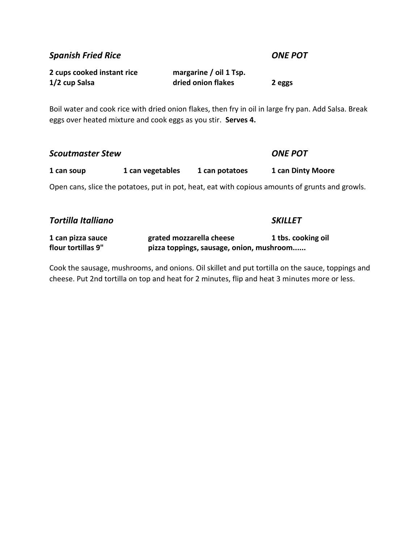*Spanish Fried Rice ONE POT*

| 2 cups cooked instant rice | margarine / oil 1 Tsp. |        |
|----------------------------|------------------------|--------|
| 1/2 cup Salsa              | dried onion flakes     | 2 eggs |

Boil water and cook rice with dried onion flakes, then fry in oil in large fry pan. Add Salsa. Break eggs over heated mixture and cook eggs as you stir. **Serves 4.**

| <b>Scoutmaster Stew</b>                                                                         |                  |                | <b>ONE POT</b>    |
|-------------------------------------------------------------------------------------------------|------------------|----------------|-------------------|
| 1 can soup                                                                                      | 1 can vegetables | 1 can potatoes | 1 can Dinty Moore |
| Open cans, slice the potatoes, put in pot, heat, eat with copious amounts of grunts and growls. |                  |                |                   |
| <b>Tortilla Italliano</b>                                                                       |                  |                | <b>SKILLET</b>    |

| 1 can pizza sauce  | grated mozzarella cheese                 | 1 tbs. cooking oil |
|--------------------|------------------------------------------|--------------------|
| flour tortillas 9" | pizza toppings, sausage, onion, mushroom |                    |

Cook the sausage, mushrooms, and onions. Oil skillet and put tortilla on the sauce, toppings and cheese. Put 2nd tortilla on top and heat for 2 minutes, flip and heat 3 minutes more or less.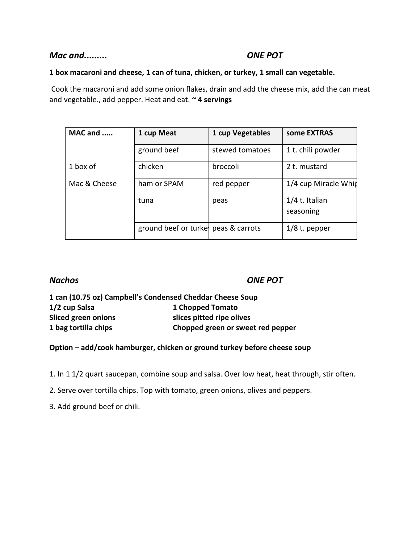#### *Mac and......... ONE POT*

#### **1 box macaroni and cheese, 1 can of tuna, chicken, or turkey, 1 small can vegetable.**

Cook the macaroni and add some onion flakes, drain and add the cheese mix, add the can meat and vegetable., add pepper. Heat and eat. **~ 4 servings**

| MAC and      | 1 cup Meat                          | 1 cup Vegetables | some EXTRAS                 |
|--------------|-------------------------------------|------------------|-----------------------------|
|              | ground beef                         | stewed tomatoes  | 1 t. chili powder           |
| 1 box of     | chicken                             | broccoli         | 2 t. mustard                |
| Mac & Cheese | ham or SPAM                         | red pepper       | 1/4 cup Miracle Whin        |
|              | tuna                                | peas             | 1/4 t. Italian<br>seasoning |
|              | ground beef or turke peas & carrots |                  | $1/8$ t. pepper             |

*Nachos ONE POT*

| 1 can (10.75 oz) Campbell's Condensed Cheddar Cheese Soup |                                   |
|-----------------------------------------------------------|-----------------------------------|
| 1/2 cup Salsa                                             | 1 Chopped Tomato                  |
| <b>Sliced green onions</b>                                | slices pitted ripe olives         |
| 1 bag tortilla chips                                      | Chopped green or sweet red pepper |

**Option – add/cook hamburger, chicken or ground turkey before cheese soup**

1. In 1 1/2 quart saucepan, combine soup and salsa. Over low heat, heat through, stir often.

2. Serve over tortilla chips. Top with tomato, green onions, olives and peppers.

3. Add ground beef or chili.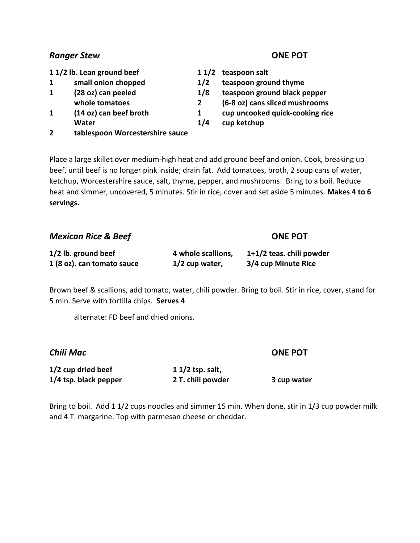#### *Ranger Stew* **<b>ONE POT**

**1 1/2 lb. Lean ground beef 1 1/2 teaspoon salt**

- 
- 
- 
- **Water 1/4 cup ketchup**
- **2 tablespoon Worcestershire sauce**

- 
- **1 small onion chopped 1/2 teaspoon ground thyme**
- **1 (28 oz) can peeled 1/8 teaspoon ground black pepper**
	- **whole tomatoes 2 (6-8 oz) cans sliced mushrooms**
- **1 (14 oz) can beef broth 1 cup uncooked quick-cooking rice**
	-

Place a large skillet over medium-high heat and add ground beef and onion. Cook, breaking up beef, until beef is no longer pink inside; drain fat. Add tomatoes, broth, 2 soup cans of water, ketchup, Worcestershire sauce, salt, thyme, pepper, and mushrooms. Bring to a boil. Reduce heat and simmer, uncovered, 5 minutes. Stir in rice, cover and set aside 5 minutes. **Makes 4 to 6 servings.**

| <b>Mexican Rice &amp; Beef</b> |                    | <b>ONE POT</b>           |
|--------------------------------|--------------------|--------------------------|
| 1/2 lb. ground beef            | 4 whole scallions, | 1+1/2 teas. chili powder |
| 1 (8 oz). can tomato sauce     | $1/2$ cup water,   | 3/4 cup Minute Rice      |

Brown beef & scallions, add tomato, water, chili powder. Bring to boil. Stir in rice, cover, stand for 5 min. Serve with tortilla chips. **Serves 4**

alternate: FD beef and dried onions.

*Chili Mac* **ONE POT**

| 1/2 cup dried beef      | $11/2$ tsp. salt, |             |
|-------------------------|-------------------|-------------|
| $1/4$ tsp. black pepper | 2 T. chili powder | 3 cup water |

Bring to boil. Add 1 1/2 cups noodles and simmer 15 min. When done, stir in 1/3 cup powder milk and 4 T. margarine. Top with parmesan cheese or cheddar.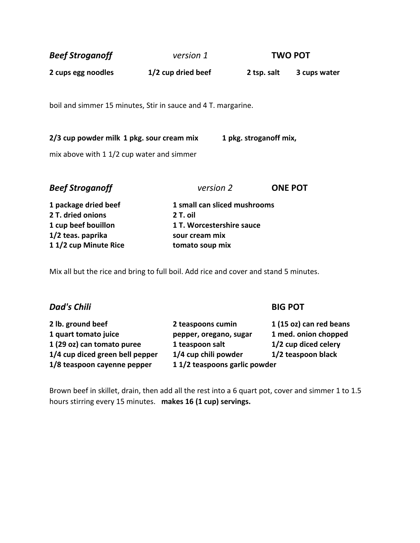| <b>Beef Stroganoff</b>                                                                 | version 1          |                        | <b>TWO POT</b> |
|----------------------------------------------------------------------------------------|--------------------|------------------------|----------------|
| 2 cups egg noodles                                                                     | 1/2 cup dried beef | 2 tsp. salt            | 3 cups water   |
| boil and simmer 15 minutes, Stir in sauce and 4 T. margarine.                          |                    |                        |                |
| 2/3 cup powder milk 1 pkg. sour cream mix<br>mix above with 1 1/2 cup water and simmer |                    | 1 pkg. stroganoff mix, |                |
|                                                                                        |                    |                        |                |

| version 2                    | <b>ONE POT</b> |
|------------------------------|----------------|
| 1 small can sliced mushrooms |                |
| 2 T. oil                     |                |
| 1 T. Worcestershire sauce    |                |
| sour cream mix               |                |
| tomato soup mix              |                |
|                              |                |

Mix all but the rice and bring to full boil. Add rice and cover and stand 5 minutes.

### *Dad's Chili* **BIG POT**

**2 lb. ground beef 2 teaspoons cumin 1 (15 oz) can red beans 1 quart tomato juice pepper, oregano, sugar 1 med. onion chopped 1 (29 oz) can tomato puree 1 teaspoon salt 1/2 cup diced celery 1/4 cup diced green bell pepper 1/4 cup chili powder 1/2 teaspoon black 1/8 teaspoon cayenne pepper 1 1/2 teaspoons garlic powder** 

Brown beef in skillet, drain, then add all the rest into a 6 quart pot, cover and simmer 1 to 1.5 hours stirring every 15 minutes. **makes 16 (1 cup) servings.**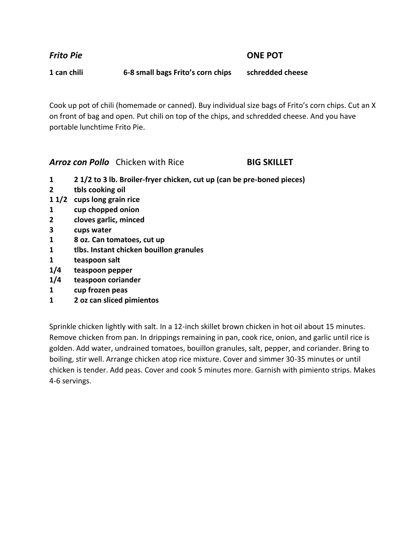*Frito Pie* **ONE POT**

**1 can chili 6-8 small bags Frito's corn chips schredded cheese**

Cook up pot of chili (homemade or canned). Buy individual size bags of Frito's corn chips. Cut an X on front of bag and open. Put chili on top of the chips, and schredded cheese. And you have portable lunchtime Frito Pie.

*Arroz con Pollo* Chicken with Rice **BIG SKILLET**

- **1 2 1/2 to 3 lb. Broiler-fryer chicken, cut up (can be pre-boned pieces)**
- **2 tbls cooking oil**
- **1 1/2 cups long grain rice**
- **1 cup chopped onion**
- **2 cloves garlic, minced**
- **3 cups water**
- **1 8 oz. Can tomatoes, cut up**
- **1 tlbs. Instant chicken bouillon granules**
- **1 teaspoon salt**
- **1/4 teaspoon pepper**
- **1/4 teaspoon coriander**
- **1 cup frozen peas**
- **1 2 oz can sliced pimientos**

Sprinkle chicken lightly with salt. In a 12-inch skillet brown chicken in hot oil about 15 minutes. Remove chicken from pan. In drippings remaining in pan, cook rice, onion, and garlic until rice is golden. Add water, undrained tomatoes, bouillon granules, salt, pepper, and coriander. Bring to boiling, stir well. Arrange chicken atop rice mixture. Cover and simmer 30-35 minutes or until chicken is tender. Add peas. Cover and cook 5 minutes more. Garnish with pimiento strips. Makes 4-6 servings.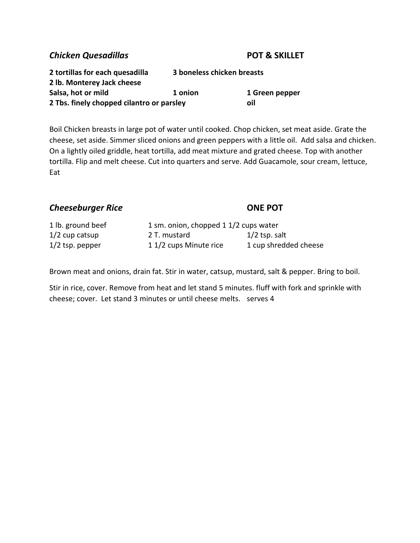#### *Chicken Quesadillas* **POT & SKILLET**

| 2 tortillas for each quesadilla           | 3 boneless chicken breasts |                |
|-------------------------------------------|----------------------------|----------------|
| 2 lb. Monterey Jack cheese                |                            |                |
| Salsa, hot or mild                        | 1 onion                    | 1 Green pepper |
| 2 Tbs. finely chopped cilantro or parsley |                            | oil            |

Boil Chicken breasts in large pot of water until cooked. Chop chicken, set meat aside. Grate the cheese, set aside. Simmer sliced onions and green peppers with a little oil. Add salsa and chicken. On a lightly oiled griddle, heat tortilla, add meat mixture and grated cheese. Top with another tortilla. Flip and melt cheese. Cut into quarters and serve. Add Guacamole, sour cream, lettuce, Eat

### **Cheeseburger Rice DISCONE POT**

| 1 lb. ground beef | 1 sm. onion, chopped 1 1/2 cups water |                       |
|-------------------|---------------------------------------|-----------------------|
| $1/2$ cup catsup  | 2 T. mustard                          | $1/2$ tsp. salt       |
| $1/2$ tsp. pepper | 11/2 cups Minute rice                 | 1 cup shredded cheese |

Brown meat and onions, drain fat. Stir in water, catsup, mustard, salt & pepper. Bring to boil.

Stir in rice, cover. Remove from heat and let stand 5 minutes. fluff with fork and sprinkle with cheese; cover. Let stand 3 minutes or until cheese melts. serves 4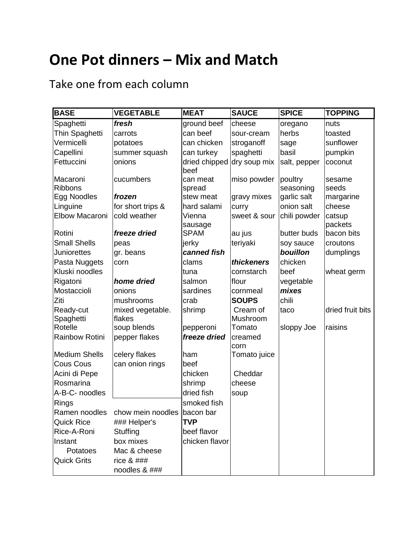# **One Pot dinners – Mix and Match**

Take one from each column

| <b>BASE</b>          | <b>VEGETABLE</b>                          | <b>MEAT</b>           | <b>SAUCE</b>    | <b>SPICE</b> | <b>TOPPING</b>    |
|----------------------|-------------------------------------------|-----------------------|-----------------|--------------|-------------------|
| Spaghetti            | fresh                                     | ground beef           | cheese          | oregano      | nuts              |
| Thin Spaghetti       | carrots                                   | can beef              | sour-cream      | herbs        | toasted           |
| Vermicelli           | potatoes                                  | can chicken           | stroganoff      | sage         | sunflower         |
| Capellini            | summer squash                             | can turkey            | spaghetti       | basil        | pumpkin           |
| Fettuccini           | onions                                    | dried chipped<br>beef | dry soup mix    | salt, pepper | coconut           |
| Macaroni             | cucumbers                                 | can meat              | miso powder     | poultry      | sesame            |
| <b>Ribbons</b>       |                                           | spread                |                 | seasoning    | seeds             |
| Egg Noodles          | frozen                                    | stew meat             | gravy mixes     | garlic salt  | margarine         |
| Linguine             | for short trips &                         | hard salami           | curry           | onion salt   | cheese            |
| Elbow Macaroni       | cold weather                              | Vienna<br>sausage     | sweet & sour    | chili powder | catsup<br>packets |
| Rotini               | freeze dried                              | <b>SPAM</b>           | au jus          | butter buds  | bacon bits        |
| <b>Small Shells</b>  | peas                                      | jerky                 | teriyaki        | soy sauce    | croutons          |
| <b>Juniorettes</b>   | gr. beans                                 | canned fish           |                 | bouillon     | dumplings         |
| Pasta Nuggets        | corn                                      | clams                 | thickeners      | chicken      |                   |
| Kluski noodles       |                                           | tuna                  | cornstarch      | beef         | wheat germ        |
| Rigatoni             | home dried                                | salmon                | flour           | vegetable    |                   |
| Mostaccioli          | onions                                    | sardines              | cornmeal        | mixes        |                   |
| Ziti                 | mushrooms                                 | crab                  | <b>SOUPS</b>    | chili        |                   |
| Ready-cut            | mixed vegetable.                          | shrimp                | Cream of        | taco         | dried fruit bits  |
| Spaghetti            | flakes                                    |                       | Mushroom        |              |                   |
| Rotelle              | soup blends                               | pepperoni             | Tomato          | sloppy Joe   | raisins           |
| Rainbow Rotini       | pepper flakes                             | freeze dried          | creamed<br>corn |              |                   |
| <b>Medium Shells</b> | celery flakes                             | ham                   | Tomato juice    |              |                   |
| <b>Cous Cous</b>     | can onion rings                           | beef                  |                 |              |                   |
| Acini di Pepe        |                                           | chicken               | Cheddar         |              |                   |
| Rosmarina            |                                           | shrimp                | cheese          |              |                   |
| A-B-C- noodles       |                                           | dried fish            | soup            |              |                   |
| <b>Rings</b>         |                                           | smoked fish           |                 |              |                   |
|                      | Ramen noodles chow mein noodles bacon bar |                       |                 |              |                   |
| <b>Quick Rice</b>    | ### Helper's                              | <b>TVP</b>            |                 |              |                   |
| Rice-A-Roni          | Stuffing                                  | beef flavor           |                 |              |                   |
| Instant              | box mixes                                 | chicken flavor        |                 |              |                   |
| Potatoes             | Mac & cheese                              |                       |                 |              |                   |
| <b>Quick Grits</b>   | rice $& # ##$                             |                       |                 |              |                   |
|                      | noodles & ###                             |                       |                 |              |                   |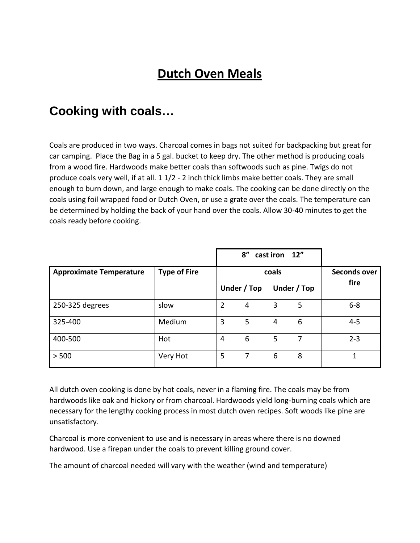# **Dutch Oven Meals**

## **Cooking with coals…**

Coals are produced in two ways. Charcoal comes in bags not suited for backpacking but great for car camping. Place the Bag in a 5 gal. bucket to keep dry. The other method is producing coals from a wood fire. Hardwoods make better coals than softwoods such as pine. Twigs do not produce coals very well, if at all. 1 1/2 - 2 inch thick limbs make better coals. They are small enough to burn down, and large enough to make coals. The cooking can be done directly on the coals using foil wrapped food or Dutch Oven, or use a grate over the coals. The temperature can be determined by holding the back of your hand over the coals. Allow 30-40 minutes to get the coals ready before cooking.

|                                |                     |                | 8''            | cast iron 12" |             |              |
|--------------------------------|---------------------|----------------|----------------|---------------|-------------|--------------|
| <b>Approximate Temperature</b> | <b>Type of Fire</b> |                |                | coals         |             | Seconds over |
|                                |                     |                | Under / Top    |               | Under / Top | fire         |
| 250-325 degrees                | slow                | $\overline{2}$ | 4              | 3             | 5           | $6 - 8$      |
| 325-400                        | Medium              | 3              | 5              | 4             | 6           | $4 - 5$      |
| 400-500                        | Hot                 | 4              | 6              | 5             | 7           | $2 - 3$      |
| > 500                          | Very Hot            | 5              | $\overline{7}$ | 6             | 8           | 1            |

All dutch oven cooking is done by hot coals, never in a flaming fire. The coals may be from hardwoods like oak and hickory or from charcoal. Hardwoods yield long-burning coals which are necessary for the lengthy cooking process in most dutch oven recipes. Soft woods like pine are unsatisfactory.

Charcoal is more convenient to use and is necessary in areas where there is no downed hardwood. Use a firepan under the coals to prevent killing ground cover.

The amount of charcoal needed will vary with the weather (wind and temperature)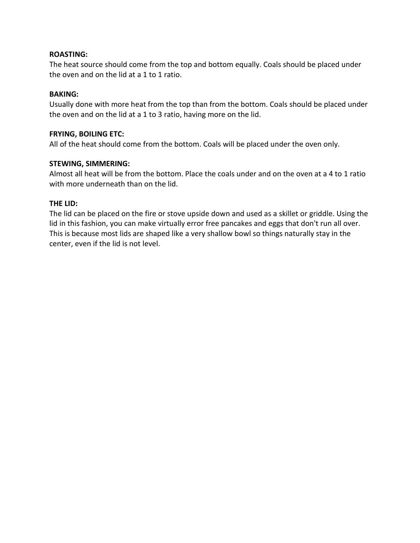#### **ROASTING:**

The heat source should come from the top and bottom equally. Coals should be placed under the oven and on the lid at a 1 to 1 ratio.

#### **BAKING:**

Usually done with more heat from the top than from the bottom. Coals should be placed under the oven and on the lid at a 1 to 3 ratio, having more on the lid.

#### **FRYING, BOILING ETC:**

All of the heat should come from the bottom. Coals will be placed under the oven only.

#### **STEWING, SIMMERING:**

Almost all heat will be from the bottom. Place the coals under and on the oven at a 4 to 1 ratio with more underneath than on the lid.

#### **THE LID:**

The lid can be placed on the fire or stove upside down and used as a skillet or griddle. Using the lid in this fashion, you can make virtually error free pancakes and eggs that don't run all over. This is because most lids are shaped like a very shallow bowl so things naturally stay in the center, even if the lid is not level.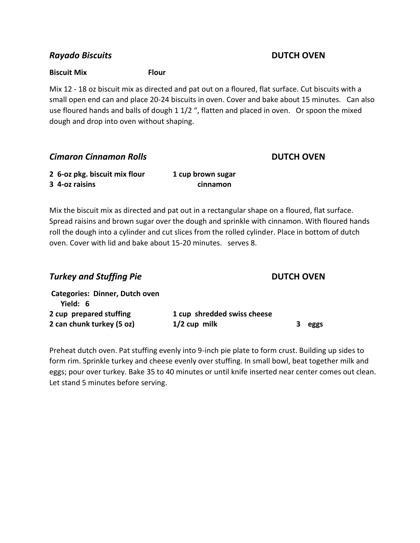#### *Rayado Biscuits* **DUTCH OVEN**

#### **Biscuit Mix Flour**

Mix 12 - 18 oz biscuit mix as directed and pat out on a floured, flat surface. Cut biscuits with a small open end can and place 20-24 biscuits in oven. Cover and bake about 15 minutes. Can also use floured hands and balls of dough 1 1/2 ", flatten and placed in oven. Or spoon the mixed dough and drop into oven without shaping.

### *Cimaron Cinnamon Rolls* **DUTCH OVEN**

| 2 6-oz pkg. biscuit mix flour | 1 cup brown sugar |
|-------------------------------|-------------------|
| 3 4-oz raisins                | cinnamon          |

Mix the biscuit mix as directed and pat out in a rectangular shape on a floured, flat surface. Spread raisins and brown sugar over the dough and sprinkle with cinnamon. With floured hands roll the dough into a cylinder and cut slices from the rolled cylinder. Place in bottom of dutch oven. Cover with lid and bake about 15-20 minutes. serves 8.

| <b>Turkey and Stuffing Pie</b>             |                             | <b>DUTCH OVEN</b> |
|--------------------------------------------|-----------------------------|-------------------|
| Categories: Dinner, Dutch oven<br>Yield: 6 |                             |                   |
| 2 cup prepared stuffing                    | 1 cup shredded swiss cheese |                   |
| 2 can chunk turkey (5 oz)                  | $1/2$ cup milk              | eggs              |

Preheat dutch oven. Pat stuffing evenly into 9-inch pie plate to form crust. Building up sides to form rim. Sprinkle turkey and cheese evenly over stuffing. In small bowl, beat together milk and eggs; pour over turkey. Bake 35 to 40 minutes or until knife inserted near center comes out clean. Let stand 5 minutes before serving.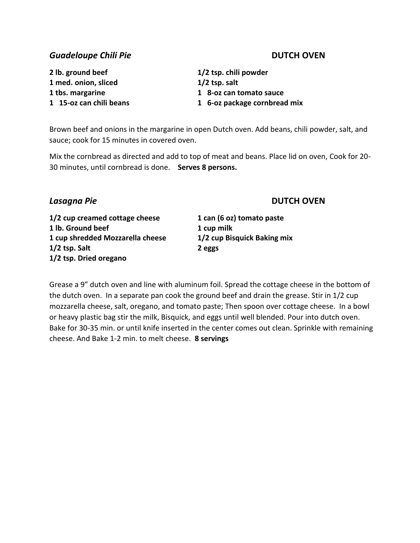### **Guadeloupe Chili Pie DUTCH OVEN**

**2 lb. ground beef 1/2 tsp. chili powder 1 med. onion, sliced 1/2 tsp. salt**

**1 tbs. margarine 1 8-oz can tomato sauce 1 15-oz can chili beans 1 6-oz package cornbread mix**

Brown beef and onions in the margarine in open Dutch oven. Add beans, chili powder, salt, and sauce; cook for 15 minutes in covered oven.

Mix the cornbread as directed and add to top of meat and beans. Place lid on oven, Cook for 20- 30 minutes, until cornbread is done. **Serves 8 persons.**

### *Lasagna Pie* **DUTCH OVEN**

**1/2 cup creamed cottage cheese 1 can (6 oz) tomato paste 1 lb. Ground beef 1 cup milk 1 cup shredded Mozzarella cheese 1/2 cup Bisquick Baking mix 1/2 tsp. Salt 2 eggs 1/2 tsp. Dried oregano**

Grease a 9" dutch oven and line with aluminum foil. Spread the cottage cheese in the bottom of the dutch oven. In a separate pan cook the ground beef and drain the grease. Stir in 1/2 cup mozzarella cheese, salt, oregano, and tomato paste; Then spoon over cottage cheese. In a bowl or heavy plastic bag stir the milk, Bisquick, and eggs until well blended. Pour into dutch oven. Bake for 30-35 min. or until knife inserted in the center comes out clean. Sprinkle with remaining cheese. And Bake 1-2 min. to melt cheese. **8 servings**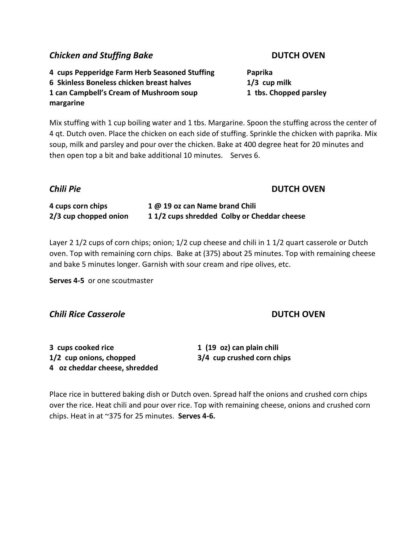### **Chicken and Stuffing Bake DUTCH OVEN**

**4 cups Pepperidge Farm Herb Seasoned Stuffing Paprika 6 Skinless Boneless chicken breast halves 1/3 cup milk 1 can Campbell's Cream of Mushroom soup 1 tbs. Chopped parsley margarine**

Mix stuffing with 1 cup boiling water and 1 tbs. Margarine. Spoon the stuffing across the center of 4 qt. Dutch oven. Place the chicken on each side of stuffing. Sprinkle the chicken with paprika. Mix soup, milk and parsley and pour over the chicken. Bake at 400 degree heat for 20 minutes and then open top a bit and bake additional 10 minutes. Serves 6.

### *Chili Pie* **DUTCH OVEN**

**4 cups corn chips 1 @ 19 oz can Name brand Chili 2/3 cup chopped onion 1 1/2 cups shredded Colby or Cheddar cheese**

Layer 2 1/2 cups of corn chips; onion; 1/2 cup cheese and chili in 1 1/2 quart casserole or Dutch oven. Top with remaining corn chips. Bake at (375) about 25 minutes. Top with remaining cheese and bake 5 minutes longer. Garnish with sour cream and ripe olives, etc.

**Serves 4-5** or one scoutmaster

#### *Chili Rice Casserole* **DUTCH OVEN**

| 3 cups cooked rice            | 1 (19 oz) can plain chili  |
|-------------------------------|----------------------------|
| 1/2 cup onions, chopped       | 3/4 cup crushed corn chips |
| 4 oz cheddar cheese, shredded |                            |

Place rice in buttered baking dish or Dutch oven. Spread half the onions and crushed corn chips over the rice. Heat chili and pour over rice. Top with remaining cheese, onions and crushed corn chips. Heat in at ~375 for 25 minutes. **Serves 4-6.**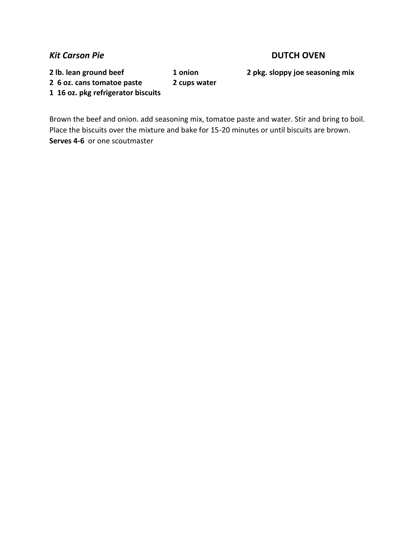#### *Kit Carson Pie* **DUTCH OVEN**

**2 lb. lean ground beef 1 onion 2 pkg. sloppy joe seasoning mix** 

**1 16 oz. pkg refrigerator biscuits**

**2 6 oz. cans tomatoe paste 2 cups water**

Brown the beef and onion. add seasoning mix, tomatoe paste and water. Stir and bring to boil. Place the biscuits over the mixture and bake for 15-20 minutes or until biscuits are brown. **Serves 4-6** or one scoutmaster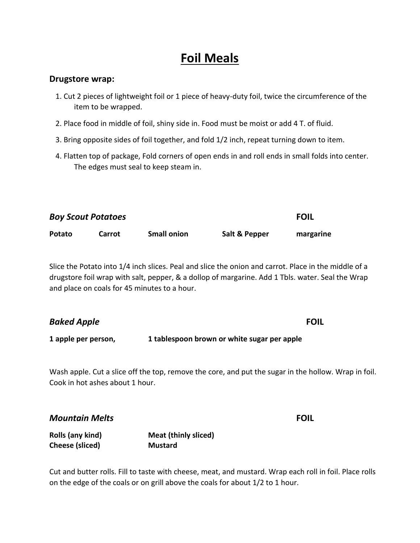## **Foil Meals**

#### **Drugstore wrap:**

- 1. Cut 2 pieces of lightweight foil or 1 piece of heavy-duty foil, twice the circumference of the item to be wrapped.
- 2. Place food in middle of foil, shiny side in. Food must be moist or add 4 T. of fluid.
- 3. Bring opposite sides of foil together, and fold 1/2 inch, repeat turning down to item.
- 4. Flatten top of package, Fold corners of open ends in and roll ends in small folds into center. The edges must seal to keep steam in.

| <b>Boy Scout Potatoes</b> | <b>FOIL</b> |                    |               |           |
|---------------------------|-------------|--------------------|---------------|-----------|
| Potato                    | Carrot      | <b>Small onion</b> | Salt & Pepper | margarine |

Slice the Potato into 1/4 inch slices. Peal and slice the onion and carrot. Place in the middle of a drugstore foil wrap with salt, pepper, & a dollop of margarine. Add 1 Tbls. water. Seal the Wrap and place on coals for 45 minutes to a hour.

| <b>Baked Apple</b>  |                                             | <b>FOIL</b> |  |
|---------------------|---------------------------------------------|-------------|--|
| 1 apple per person, | 1 tablespoon brown or white sugar per apple |             |  |

Wash apple. Cut a slice off the top, remove the core, and put the sugar in the hollow. Wrap in foil. Cook in hot ashes about 1 hour.

*Mountain Melts* **FOIL**

| Rolls (any kind) | <b>Meat (thinly sliced)</b> |
|------------------|-----------------------------|
| Cheese (sliced)  | <b>Mustard</b>              |

Cut and butter rolls. Fill to taste with cheese, meat, and mustard. Wrap each roll in foil. Place rolls on the edge of the coals or on grill above the coals for about 1/2 to 1 hour.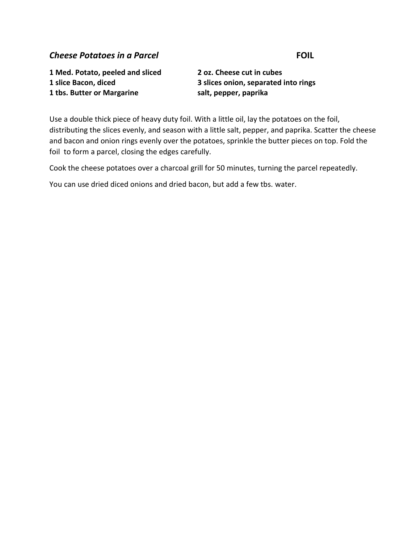#### **Cheese Potatoes in a Parcel <b>FOIL FOIL**

**1 Med. Potato, peeled and sliced 2 oz. Cheese cut in cubes 1 tbs. Butter or Margarine salt, pepper, paprika**

**1 slice Bacon, diced 3 slices onion, separated into rings**

Use a double thick piece of heavy duty foil. With a little oil, lay the potatoes on the foil, distributing the slices evenly, and season with a little salt, pepper, and paprika. Scatter the cheese and bacon and onion rings evenly over the potatoes, sprinkle the butter pieces on top. Fold the foil to form a parcel, closing the edges carefully.

Cook the cheese potatoes over a charcoal grill for 50 minutes, turning the parcel repeatedly.

You can use dried diced onions and dried bacon, but add a few tbs. water.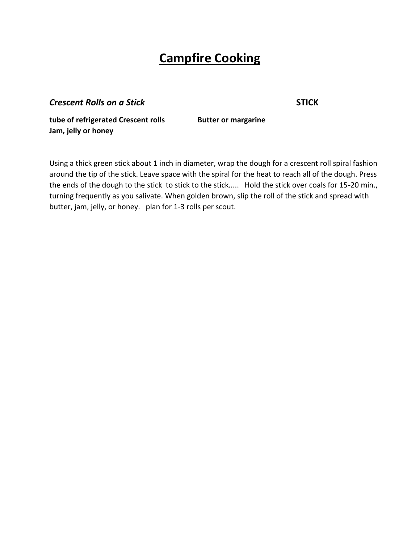## **Campfire Cooking**

**Crescent Rolls on a Stick STICK** 

**tube of refrigerated Crescent rolls Butter or margarine Jam, jelly or honey**

Using a thick green stick about 1 inch in diameter, wrap the dough for a crescent roll spiral fashion around the tip of the stick. Leave space with the spiral for the heat to reach all of the dough. Press the ends of the dough to the stick to stick to the stick..... Hold the stick over coals for 15-20 min., turning frequently as you salivate. When golden brown, slip the roll of the stick and spread with butter, jam, jelly, or honey. plan for 1-3 rolls per scout.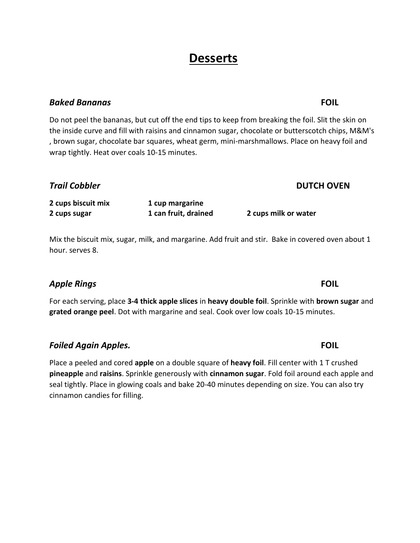## **Desserts**

### *Baked Bananas* **FOIL**

Do not peel the bananas, but cut off the end tips to keep from breaking the foil. Slit the skin on the inside curve and fill with raisins and cinnamon sugar, chocolate or butterscotch chips, M&M's , brown sugar, chocolate bar squares, wheat germ, mini-marshmallows. Place on heavy foil and wrap tightly. Heat over coals 10-15 minutes.

**2 cups biscuit mix 1 cup margarine 2 cups sugar 1 can fruit, drained 2 cups milk or water**

Mix the biscuit mix, sugar, milk, and margarine. Add fruit and stir. Bake in covered oven about 1 hour. serves 8.

### *Apple Rings* **FOIL**

For each serving, place **3-4 thick apple slices** in **heavy double foil**. Sprinkle with **brown sugar** and **grated orange peel**. Dot with margarine and seal. Cook over low coals 10-15 minutes.

*Foiled Again Apples.* **FOIL**

Place a peeled and cored **apple** on a double square of **heavy foil**. Fill center with 1 T crushed **pineapple** and **raisins**. Sprinkle generously with **cinnamon sugar**. Fold foil around each apple and seal tightly. Place in glowing coals and bake 20-40 minutes depending on size. You can also try cinnamon candies for filling.

### *Trail Cobbler* **DUTCH OVEN**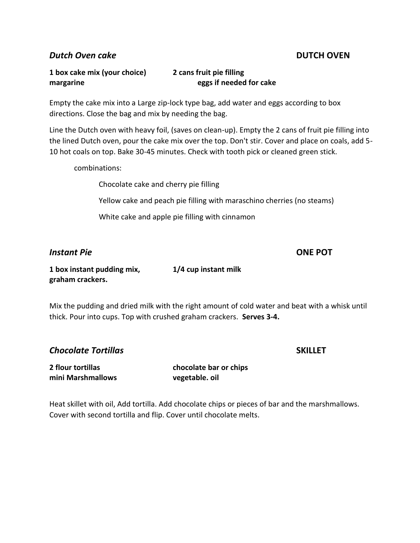*Dutch Oven cake* **DUTCH OVEN**

### **1 box cake mix (your choice) 2 cans fruit pie filling margarine eggs if needed for cake**

Empty the cake mix into a Large zip-lock type bag, add water and eggs according to box directions. Close the bag and mix by needing the bag.

Line the Dutch oven with heavy foil, (saves on clean-up). Empty the 2 cans of fruit pie filling into the lined Dutch oven, pour the cake mix over the top. Don't stir. Cover and place on coals, add 5- 10 hot coals on top. Bake 30-45 minutes. Check with tooth pick or cleaned green stick.

combinations:

Chocolate cake and cherry pie filling

Yellow cake and peach pie filling with maraschino cherries (no steams)

White cake and apple pie filling with cinnamon

#### *Instant Pie* **ONE POT**

**1 box instant pudding mix, 1/4 cup instant milk graham crackers.** 

Mix the pudding and dried milk with the right amount of cold water and beat with a whisk until thick. Pour into cups. Top with crushed graham crackers. **Serves 3-4.**

**Chocolate Tortillas SKILLET** 

| <b>2 flour tortillas</b> |  |  |  |  |
|--------------------------|--|--|--|--|
| mini Marshmallows        |  |  |  |  |

**2 flour tortillas chocolate bar or chips mini Marshmallows vegetable. oil**

Heat skillet with oil, Add tortilla. Add chocolate chips or pieces of bar and the marshmallows. Cover with second tortilla and flip. Cover until chocolate melts.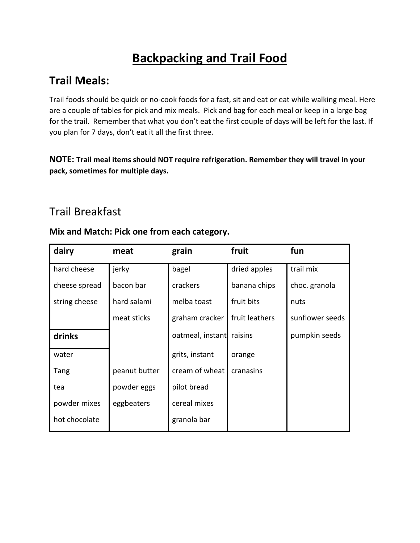# **Backpacking and Trail Food**

## **Trail Meals:**

Trail foods should be quick or no-cook foods for a fast, sit and eat or eat while walking meal. Here are a couple of tables for pick and mix meals. Pick and bag for each meal or keep in a large bag for the trail. Remember that what you don't eat the first couple of days will be left for the last. If you plan for 7 days, don't eat it all the first three.

**NOTE: Trail meal items should NOT require refrigeration. Remember they will travel in your pack, sometimes for multiple days.**

## Trail Breakfast

| dairy         | meat          | grain                    | fruit          | fun             |
|---------------|---------------|--------------------------|----------------|-----------------|
| hard cheese   | jerky         | bagel                    | dried apples   | trail mix       |
| cheese spread | bacon bar     | crackers                 | banana chips   | choc. granola   |
| string cheese | hard salami   | melba toast              | fruit bits     | nuts            |
|               | meat sticks   | graham cracker           | fruit leathers | sunflower seeds |
| drinks        |               | oatmeal, instant raisins |                | pumpkin seeds   |
| water         |               | grits, instant           | orange         |                 |
| Tang          | peanut butter | cream of wheat           | cranasins      |                 |
| tea           | powder eggs   | pilot bread              |                |                 |
| powder mixes  | eggbeaters    | cereal mixes             |                |                 |
| hot chocolate |               | granola bar              |                |                 |

### **Mix and Match: Pick one from each category.**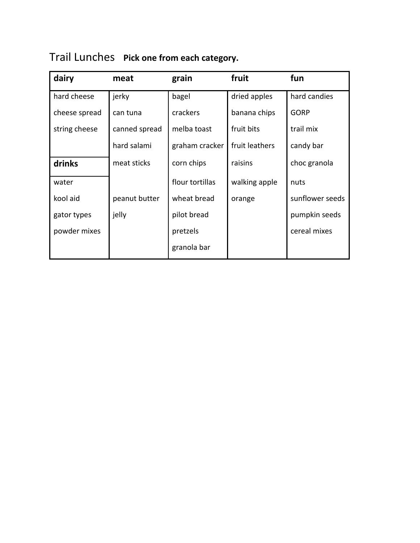|  | Trail Lunches Pick one from each category. |
|--|--------------------------------------------|
|--|--------------------------------------------|

| dairy         | meat          | grain           | fruit          | fun             |
|---------------|---------------|-----------------|----------------|-----------------|
| hard cheese   | jerky         | bagel           | dried apples   | hard candies    |
| cheese spread | can tuna      | crackers        | banana chips   | <b>GORP</b>     |
| string cheese | canned spread | melba toast     | fruit bits     | trail mix       |
|               | hard salami   | graham cracker  | fruit leathers | candy bar       |
| drinks        | meat sticks   | corn chips      | raisins        | choc granola    |
| water         |               | flour tortillas | walking apple  | nuts            |
| kool aid      | peanut butter | wheat bread     | orange         | sunflower seeds |
| gator types   | jelly         | pilot bread     |                | pumpkin seeds   |
| powder mixes  |               | pretzels        |                | cereal mixes    |
|               |               | granola bar     |                |                 |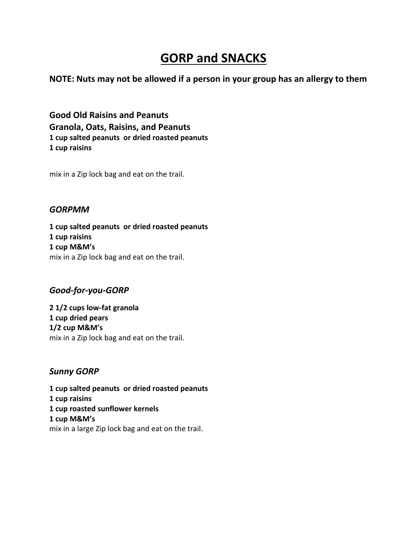## **GORP and SNACKS**

**NOTE: Nuts may not be allowed if a person in your group has an allergy to them**

**Good Old Raisins and Peanuts Granola, Oats, Raisins, and Peanuts 1 cup salted peanuts or dried roasted peanuts 1 cup raisins**

mix in a Zip lock bag and eat on the trail.

#### *GORPMM*

**1 cup salted peanuts or dried roasted peanuts 1 cup raisins 1 cup M&M's** mix in a Zip lock bag and eat on the trail.

### *Good-for-you-GORP*

**2 1/2 cups low-fat granola 1 cup dried pears 1/2 cup M&M's** mix in a Zip lock bag and eat on the trail.

### *Sunny GORP*

**1 cup salted peanuts or dried roasted peanuts 1 cup raisins 1 cup roasted sunflower kernels 1 cup M&M's** mix in a large Zip lock bag and eat on the trail.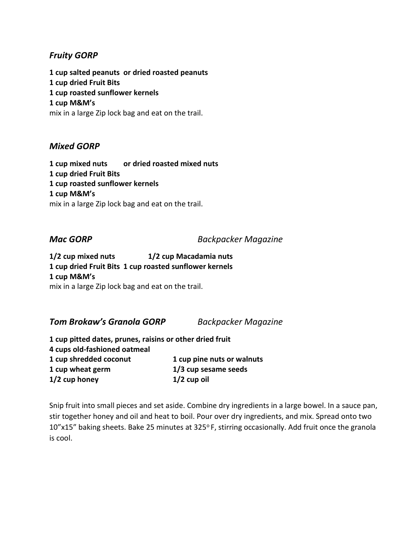### *Fruity GORP*

**1 cup salted peanuts or dried roasted peanuts 1 cup dried Fruit Bits 1 cup roasted sunflower kernels 1 cup M&M's** mix in a large Zip lock bag and eat on the trail.

#### *Mixed GORP*

**1 cup mixed nuts or dried roasted mixed nuts 1 cup dried Fruit Bits 1 cup roasted sunflower kernels 1 cup M&M's** mix in a large Zip lock bag and eat on the trail.

*Mac GORP Backpacker Magazine*

**1/2 cup mixed nuts 1/2 cup Macadamia nuts 1 cup dried Fruit Bits 1 cup roasted sunflower kernels 1 cup M&M's** mix in a large Zip lock bag and eat on the trail.

*Tom Brokaw's Granola GORP Backpacker Magazine*

**1 cup pitted dates, prunes, raisins or other dried fruit 4 cups old-fashioned oatmeal 1 cup shredded coconut 1 cup pine nuts or walnuts 1 cup wheat germ 1/3 cup sesame seeds 1/2 cup honey 1/2 cup oil**

Snip fruit into small pieces and set aside. Combine dry ingredients in a large bowel. In a sauce pan, stir together honey and oil and heat to boil. Pour over dry ingredients, and mix. Spread onto two 10"x15" baking sheets. Bake 25 minutes at 325°F, stirring occasionally. Add fruit once the granola is cool.